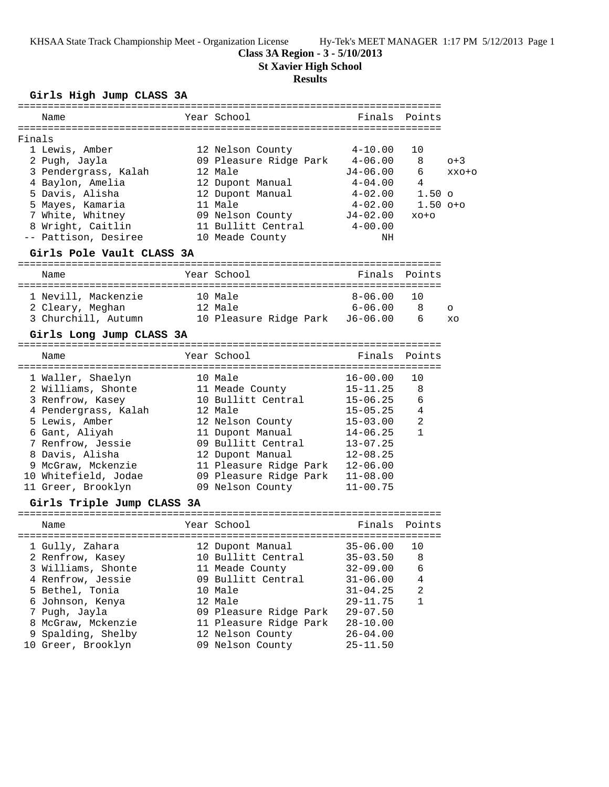KHSAA State Track Championship Meet - Organization License Hy-Tek's MEET MANAGER 1:17 PM 5/12/2013 Page 1

# **Class 3A Region - 3 - 5/10/2013**

**St Xavier High School**

#### **Results**

### **Girls High Jump CLASS 3A**

|        | Name                                                |         | Year School            | Finals Points      |                |         |
|--------|-----------------------------------------------------|---------|------------------------|--------------------|----------------|---------|
|        |                                                     |         |                        |                    |                |         |
| Finals |                                                     |         |                        |                    |                |         |
|        | 1 Lewis, Amber                                      |         | 12 Nelson County       | $4 - 10.00$        | 10             |         |
|        | 2 Pugh, Jayla                                       |         | 09 Pleasure Ridge Park | $4 - 06.00$        | 8              | $o+3$   |
|        | 3 Pendergrass, Kalah                                |         | 12 Male                | J4-06.00           | 6              | XXO+O   |
|        | 4 Baylon, Amelia                                    |         | 12 Dupont Manual       | $4\hbox{--}04$ .00 | 4              |         |
|        | 5 Davis, Alisha                                     |         | 12 Dupont Manual       | $4 - 02.00$        | $1.50$ o       |         |
|        | 5 Mayes, Kamaria                                    |         | 11 Male                | $4 - 02.00$        | $1.50$ $0+0$   |         |
|        | 7 White, Whitney                                    |         | 09 Nelson County       | J4-02.00           | $XO+O$         |         |
|        | 8 Wright, Caitlin                                   |         | 11 Bullitt Central     | $4 - 00.00$        |                |         |
|        | -- Pattison, Desiree                                |         | 10 Meade County        | ΝH                 |                |         |
|        | Girls Pole Vault CLASS 3A                           |         |                        |                    |                |         |
|        | Name                                                |         | Year School            | Finals             | Points         |         |
|        |                                                     |         |                        |                    |                |         |
|        | 1 Nevill, Mackenzie                                 |         | 10 Male                | $8 - 06.00$        | 10             |         |
|        | 2 Cleary, Meghan                                    |         | 12 Male                | 6-06.00            | 8              | $\circ$ |
|        | 3 Churchill, Autumn 10 Pleasure Ridge Park J6-06.00 |         |                        |                    | 6              | XO      |
|        |                                                     |         |                        |                    |                |         |
|        | Girls Long Jump CLASS 3A                            |         |                        |                    |                |         |
|        | Name                                                |         | Year School            | Finals Points      |                |         |
|        |                                                     |         |                        |                    |                |         |
|        | 1 Waller, Shaelyn                                   | 10 Male |                        | $16 - 00.00$       | 10             |         |
|        | 2 Williams, Shonte 11 Meade County                  |         |                        | $15 - 11.25$       | 8              |         |
|        | 3 Renfrow, Kasey                                    |         | 10 Bullitt Central     | 15-06.25           | 6              |         |
|        | 4 Pendergrass, Kalah                                |         | 12 Male                | $15 - 05.25$       | $\overline{4}$ |         |
|        | 5 Lewis, Amber                                      |         | 12 Nelson County       | $15 - 03.00$       | $\overline{2}$ |         |
|        | 6 Gant, Aliyah                                      |         | 11 Dupont Manual       | $14 - 06.25$       | $\mathbf{1}$   |         |
|        | 7 Renfrow, Jessie                                   |         | 09 Bullitt Central     | $13 - 07.25$       |                |         |
|        | 8 Davis, Alisha                                     |         | 12 Dupont Manual       | $12 - 08.25$       |                |         |
|        | 9 McGraw, Mckenzie                                  |         | 11 Pleasure Ridge Park | $12 - 06.00$       |                |         |
|        | 10 Whitefield, Jodae                                |         | 09 Pleasure Ridge Park | $11 - 08.00$       |                |         |
|        | 11 Greer, Brooklyn                                  |         | 09 Nelson County       | $11 - 00.75$       |                |         |
|        | Girls Triple Jump CLASS 3A                          |         |                        |                    |                |         |
|        |                                                     |         |                        |                    |                |         |
|        | Name                                                |         | Year School            | Finals             | Points         |         |
|        | 1 Gully, Zahara (12 Dupont Manual (35-06.00) 10     |         |                        |                    |                |         |
|        | 2 Renfrow, Kasey                                    |         | 10 Bullitt Central     | $35 - 03.50$       | 8              |         |
|        | 3 Williams, Shonte                                  |         | 11 Meade County        | $32 - 09.00$       | 6              |         |
|        | 4 Renfrow, Jessie                                   |         | 09 Bullitt Central     | $31 - 06.00$       | $\overline{4}$ |         |
|        | 5 Bethel, Tonia                                     |         | 10 Male                | $31 - 04.25$       | 2              |         |
|        | 6 Johnson, Kenya                                    |         | 12 Male                | 29-11.75           | $\mathbf{1}$   |         |
|        | 7 Pugh, Jayla                                       |         | 09 Pleasure Ridge Park | $29 - 07.50$       |                |         |
|        | 8 McGraw, Mckenzie                                  |         | 11 Pleasure Ridge Park | $28 - 10.00$       |                |         |
|        | 9 Spalding, Shelby                                  |         | 12 Nelson County       | $26 - 04.00$       |                |         |
|        | 10 Greer, Brooklyn                                  |         | 09 Nelson County       | $25 - 11.50$       |                |         |
|        |                                                     |         |                        |                    |                |         |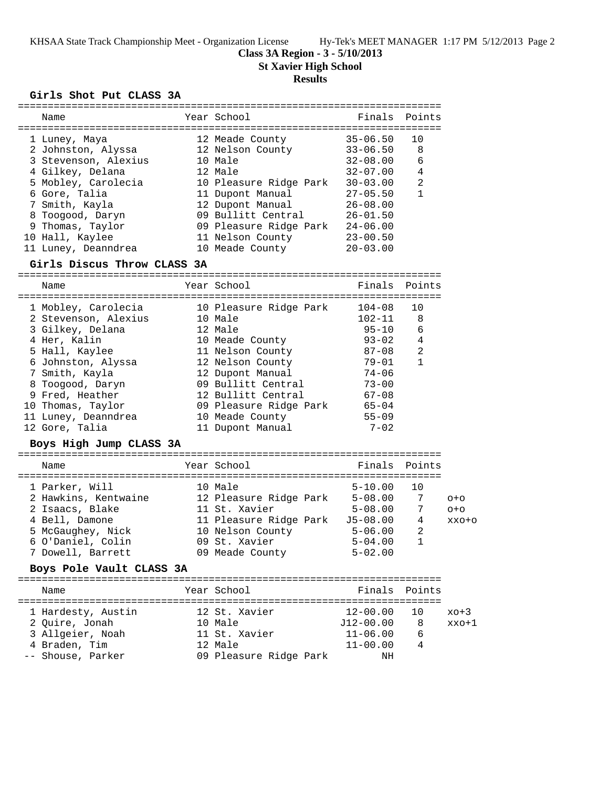KHSAA State Track Championship Meet - Organization License Hy-Tek's MEET MANAGER 1:17 PM 5/12/2013 Page 2

**Class 3A Region - 3 - 5/10/2013**

**St Xavier High School**

## **Results**

#### **Girls Shot Put CLASS 3A**

| =============                                       |                                              |               |                |         |
|-----------------------------------------------------|----------------------------------------------|---------------|----------------|---------|
| Name                                                | Year School                                  | Finals        | Points         |         |
|                                                     |                                              |               |                |         |
| 1 Luney, Maya                                       | 12 Meade County                              | $35 - 06.50$  | 10             |         |
| 2 Johnston, Alyssa                                  | 12 Nelson County                             | $33 - 06.50$  | 8              |         |
| 3 Stevenson, Alexius                                | 10 Male                                      | $32 - 08.00$  | 6              |         |
| 4 Gilkey, Delana                                    | 12 Male                                      | $32 - 07.00$  | 4              |         |
| 5 Mobley, Carolecia                                 | 10 Pleasure Ridge Park                       | $30 - 03.00$  | 2              |         |
| 6 Gore, Talia                                       | 11 Dupont Manual                             | $27 - 05.50$  | $\mathbf{1}$   |         |
| 7 Smith, Kayla                                      | 12 Dupont Manual                             | $26 - 08.00$  |                |         |
| 8 Toogood, Daryn                                    | 09 Bullitt Central                           | $26 - 01.50$  |                |         |
| 9 Thomas, Taylor                                    | 09 Bullitt Central<br>09 Pleasure Ridge Park | $24 - 06.00$  |                |         |
| 10 Hall, Kaylee                                     | 11 Nelson County                             | $23 - 00.50$  |                |         |
| 11 Luney, Deanndrea                                 | 10 Meade County                              | $20 - 03.00$  |                |         |
| Girls Discus Throw CLASS 3A                         |                                              |               |                |         |
|                                                     |                                              |               |                |         |
| Name                                                | Year School                                  | Finals Points |                |         |
| 1 Mobley, Carolecia                                 | 10 Pleasure Ridge Park                       | $104 - 08$    | 10             |         |
| 2 Stevenson, Alexius                                | 10 Male                                      | $102 - 11$    | 8              |         |
| 3 Gilkey, Delana                                    | 12 Male                                      | $95 - 10$     | 6              |         |
| 4 Her, Kalin                                        | 10 Meade County                              | $93 - 02$     | $\overline{4}$ |         |
| 5 Hall, Kaylee                                      | 11 Nelson County                             | $87 - 08$     | $\overline{2}$ |         |
| 6 Johnston, Alyssa                                  | 12 Nelson County                             | 79-01         | $\mathbf{1}$   |         |
| 7 Smith, Kayla                                      | 12 Dupont Manual                             | $74 - 06$     |                |         |
| 8 Toogood, Daryn                                    | 09 Bullitt Central                           | $73 - 00$     |                |         |
| 9 Fred, Heather                                     | 12 Bullitt Central                           | $67 - 08$     |                |         |
| 10 Thomas, Taylor                                   | 09 Pleasure Ridge Park                       | $65 - 04$     |                |         |
| 11 Luney, Deanndrea                                 | 10 Meade County                              | $55 - 09$     |                |         |
| 12 Gore, Talia                                      | 11 Dupont Manual                             | $7 - 02$      |                |         |
|                                                     |                                              |               |                |         |
| Boys High Jump CLASS 3A                             |                                              |               |                |         |
| Name                                                | Year School                                  | Finals        | Points         |         |
|                                                     |                                              |               | 10             |         |
| 1 Parker, Will                                      | 10 Male                                      | $5 - 10.00$   |                |         |
| 2 Hawkins, Kentwaine 12 Pleasure Ridge Park 5-08.00 |                                              |               | 7              | $O + O$ |
| 2 Isaacs, Blake                                     | 11 St. Xavier                                | $5 - 08.00$   | 7              | $O + O$ |
| 4 Bell, Damone                                      | 11 Pleasure Ridge Park J5-08.00              |               | 4              | XXO+O   |
| 5 McGaughey, Nick                                   | 10 Nelson County                             | $5 - 06.00$   | $\overline{2}$ |         |
| 6 O'Daniel, Colin                                   | 09 St. Xavier                                | $5 - 04.00$   | $\mathbf{1}$   |         |
| 7 Dowell, Barrett                                   | 09 Meade County                              | $5 - 02.00$   |                |         |
| Boys Pole Vault CLASS 3A                            |                                              |               |                |         |
| Name                                                | Year School                                  | Finals        | Points         |         |
| 1 Hardesty, Austin                                  | 12 St. Xavier                                | $12 - 00.00$  | 10             | xo+3    |
| 2 Quire, Jonah                                      | 10 Male                                      | $J12-00.00$   | 8              | xxo+1   |
| 3 Allgeier, Noah                                    | 11 St. Xavier                                | $11 - 06.00$  | 6              |         |
| 4 Braden, Tim                                       | 12 Male                                      | $11 - 00.00$  | 4              |         |
| -- Shouse, Parker                                   | 09 Pleasure Ridge Park                       | NH            |                |         |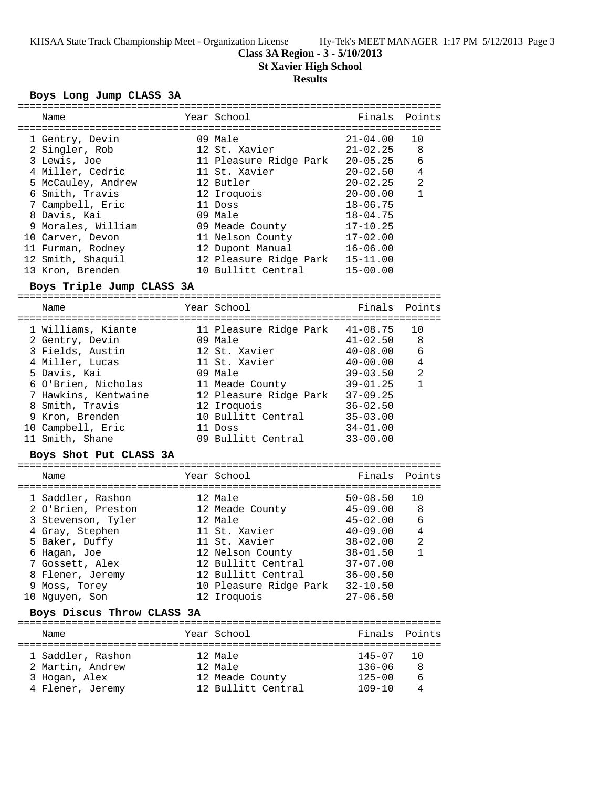KHSAA State Track Championship Meet - Organization License Hy-Tek's MEET MANAGER 1:17 PM 5/12/2013 Page 3

**Class 3A Region - 3 - 5/10/2013**

**St Xavier High School**

### **Results**

### **Boys Long Jump CLASS 3A**

| Name                      |  | Year School            |                                           | Finals Points  |  |  |  |
|---------------------------|--|------------------------|-------------------------------------------|----------------|--|--|--|
|                           |  |                        |                                           |                |  |  |  |
| 1 Gentry, Devin           |  | 09 Male                | $21 - 04.00$                              | 10             |  |  |  |
| 2 Singler, Rob            |  | 12 St. Xavier          | $21 - 02.25$ 8                            |                |  |  |  |
| 3 Lewis, Joe              |  | 11 Pleasure Ridge Park | 20-05.25                                  | 6              |  |  |  |
| 4 Miller, Cedric          |  | 11 St. Xavier          | $20 - 02.50$                              | $\overline{4}$ |  |  |  |
| 5 McCauley, Andrew        |  | 12 Butler              | $20 - 02.25$                              | 2              |  |  |  |
| 6 Smith, Travis           |  | 12 Iroquois            | $20 - 00.00$                              | $\mathbf{1}$   |  |  |  |
| 7 Campbell, Eric          |  | 11 Doss                | $18 - 06.75$                              |                |  |  |  |
| 8 Davis, Kai              |  | 09 Male                | $18 - 04.75$                              |                |  |  |  |
| 9 Morales, William        |  | 09 Meade County        | $17 - 10.25$                              |                |  |  |  |
| 10 Carver, Devon          |  | 11 Nelson County       | $17 - 02.00$                              |                |  |  |  |
| 11 Furman, Rodney         |  | 12 Dupont Manual       | $16 - 06.00$                              |                |  |  |  |
| 12 Smith, Shaquil         |  | 12 Pleasure Ridge Park | $15 - 11.00$                              |                |  |  |  |
| 13 Kron, Brenden          |  | 10 Bullitt Central     | $15 - 00.00$                              |                |  |  |  |
| Boys Triple Jump CLASS 3A |  |                        |                                           |                |  |  |  |
|                           |  |                        |                                           |                |  |  |  |
| $N = m$                   |  | Voore Cabool           | $E_{\text{total}} = D_{\text{total}} + A$ |                |  |  |  |

| Name                 | Year School            | Finals       | Points |
|----------------------|------------------------|--------------|--------|
| 1 Williams, Kiante   | 11 Pleasure Ridge Park | $41 - 08.75$ | 10     |
| 2 Gentry, Devin      | 09 Male                | $41 - 02.50$ | - 8    |
| 3 Fields, Austin     | 12 St. Xavier          | $40 - 08.00$ | 6      |
| 4 Miller, Lucas      | 11 St. Xavier          | $40 - 00.00$ | 4      |
| 5 Davis, Kai         | 09 Male                | $39 - 03.50$ | 2      |
| 6 O'Brien, Nicholas  | 11 Meade County        | $39 - 01.25$ | 1      |
| 7 Hawkins, Kentwaine | 12 Pleasure Ridge Park | $37 - 09.25$ |        |
| 8 Smith, Travis      | 12 Iroquois            | $36 - 02.50$ |        |
| 9 Kron, Brenden      | 10 Bullitt Central     | $35 - 03.00$ |        |
| 10 Campbell, Eric    | 11 Doss                | $34 - 01.00$ |        |
| 11 Smith, Shane      | 09 Bullitt Central     | $33 - 00.00$ |        |

#### **Boys Shot Put CLASS 3A**

| Name                                                                                                                                                                                         | Year School                                                                                                                                                                      | Finals Points                                                                                                                                                |                                       |
|----------------------------------------------------------------------------------------------------------------------------------------------------------------------------------------------|----------------------------------------------------------------------------------------------------------------------------------------------------------------------------------|--------------------------------------------------------------------------------------------------------------------------------------------------------------|---------------------------------------|
| 1 Saddler, Rashon<br>2 O'Brien, Preston<br>3 Stevenson, Tyler<br>4 Gray, Stephen<br>5 Baker, Duffy<br>6 Hagan, Joe<br>7 Gossett, Alex<br>8 Flener, Jeremy<br>9 Moss, Torey<br>10 Nguyen, Son | 12 Male<br>12 Meade County<br>12 Male<br>11 St. Xavier<br>11 St. Xavier<br>12 Nelson County<br>12 Bullitt Central<br>12 Bullitt Central<br>10 Pleasure Ridge Park<br>12 Iroquois | $50 - 08.50$<br>$45 - 09.00$<br>$45 - 02.00$<br>$40 - 09.00$<br>$38 - 02.00$<br>$38 - 01.50$<br>$37 - 07.00$<br>$36 - 00.50$<br>$32 - 10.50$<br>$27 - 06.50$ | 10<br>- 8<br>6<br>4<br>$\mathfrak{D}$ |
|                                                                                                                                                                                              |                                                                                                                                                                                  |                                                                                                                                                              |                                       |

### **Boys Discus Throw CLASS 3A**

| Name              |  | Year School        | Finals Points |    |  |  |  |
|-------------------|--|--------------------|---------------|----|--|--|--|
|                   |  |                    |               |    |  |  |  |
| 1 Saddler, Rashon |  | 12 Male            | 145-07 10     |    |  |  |  |
| 2 Martin, Andrew  |  | 12 Male            | $136 - 06$    | -8 |  |  |  |
| 3 Hogan, Alex     |  | 12 Meade County    | $125 - 00$    | 6  |  |  |  |
| 4 Flener, Jeremy  |  | 12 Bullitt Central | $109 - 10$    |    |  |  |  |